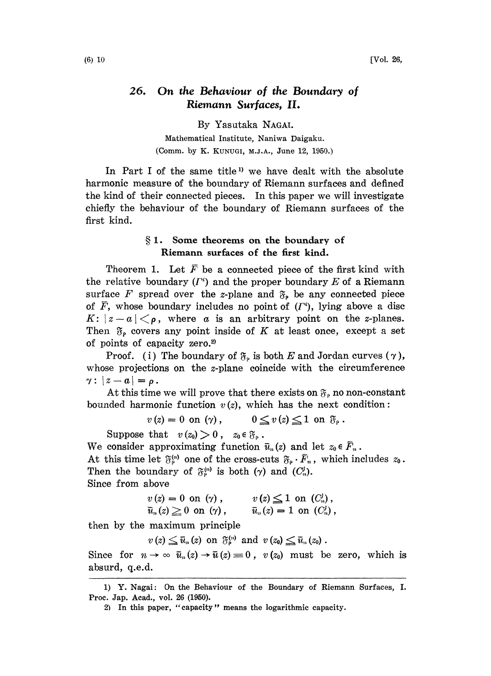## 26. On the Behaviour of the Boundary of Riemann Surfaces, II.

By Yasataka NAGAI. Mathematical Institute, Naniwa Daigaku. (Comm. by K. KUNUGI, M.J.A., June 12, 1950.)

In Part I of the same title<sup>1</sup> we have dealt with the absolute harmonic measure of the boundary of Riemann surfaces and defined the kind of their connected pieces. In this paper we will investigate chiefly the behaviour of the boundary of Riemann surfaces of the first kind.

## 1. Some theorems on the boundary of Riemann surfaces of the first kind.

Theorem 1. Let  $\bar{F}$  be a connected piece of the first kind with the relative boundary  $(I^*)$  and the proper boundary E of a Riemann surface F spread over the z-plane and  $\mathfrak{F}_{p}$  be any connected piece of  $\overline{F}$ , whose boundary includes no point of  $(F<sup>i</sup>)$ , lying above a disc  $K: |z-a|<\rho$ , where a is an arbitrary point on the z-planes. Then  $\mathfrak{F}_{p}$  covers any point inside of K at least once, except a set of points of capacity zero.<sup>2)</sup>

Proof. (i) The boundary of  $\mathfrak{F}_{\rho}$  is both E and Jordan curves  $(\gamma)$ , whose projections on the *z*-plane coincide with the circumference  $\gamma: |z-a| = \rho$ .

At this time we will prove that there exists on  $\mathfrak{F}_{\rho}$  no non-constant bounded harmonic function  $v(z)$ , which has the next condition:

$$
v(z) = 0 \text{ on } (\gamma), \qquad 0 \leq v(z) \leq 1 \text{ on } \mathfrak{F}_{\rho}.
$$

Suppose that  $v(z_0) > 0$ ,  $z_0 \in \mathfrak{F}_{\rho}$ .

We consider approximating function  $\bar{u}_n(z)$  and let  $z_0$ We consider approximating function  $\bar{u}_n(z)$  and let  $z_0 \in \bar{F}_n$ .<br>At this time let  $\mathfrak{F}_p^{(n)}$  one of the cross-cuts  $\mathfrak{F}_p \cdot \bar{F}_n$ , which includes  $z_0$ Then the boundary of  $\mathfrak{F}_p^{(n)}$  is both ( $\gamma$ ) and ( $C_n^j$ ). Since from above

$$
v(z) = 0 \text{ on } (\gamma), \qquad v(z) \leq 1 \text{ on } (C_n^j),
$$
  

$$
\bar{u}_n(z) \geq 0 \text{ on } (\gamma), \qquad \bar{u}_n(z) = 1 \text{ on } (C_n^j),
$$

then by the maximum principle

 $v(z) \leq \bar{u}_n(z)$  on  $\mathfrak{F}_{\rho}^{(n)}$  and  $v(z_0) \leq \bar{u}_n(z_0)$ .

Since for  $n \to \infty$   $\bar{u}_n(z) \to \bar{u}(z) = 0$ ,  $v(z_0)$  must be zero, which is absurd, q.e.d.

<sup>1)</sup> Y. Nagai: On the Behaviour of the Boundary of Riemann Surfaces, I. Proc. Jap. Acad., vol. 26 (1960).

<sup>2)</sup> In this paper, "capacity" means the logarithmic capacity.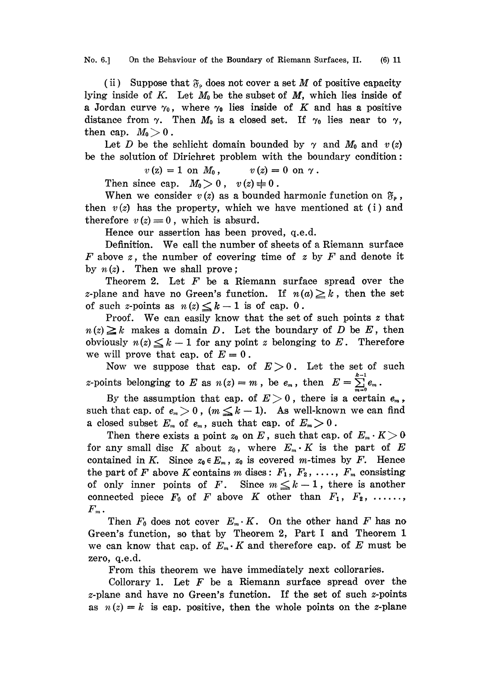No. 6.] On the Behaviour of the Boundary of Riemann Surfaces, II. (6) 11

(ii) Suppose that  $\mathfrak{F}_{\rho}$  does not cover a set M of positive capacity lying inside of K. Let  $M_0$  be the subset of  $M$ , which lies inside of a Jordan curve  $\gamma_0$ , where  $\gamma_0$  lies inside of K and has a positive distance from  $\gamma$ . Then  $M_0$  is a closed set. If  $\gamma_0$  lies near to  $\gamma$ , then cap.  $M_0 > 0$ .

Let D be the schlicht domain bounded by  $\gamma$  and  $M_0$  and  $v(z)$ be the solution of Dirichret problem with the boundary condition:

 $v(z) = 1$  on  $M_0$ ,  $v(z) = 0$  on  $\gamma$ .

Then since cap.  $M_0>0$ ,  $v(z)\neq0$ .

When we consider  $v(z)$  as a bounded harmonic function on  $\mathfrak{F}_{\rho}$ , then  $v(z)$  has the property, which we have mentioned at (i) and therefore  $v(z) \equiv 0$ , which is absurd.

Hence our assertion has been proved, q.e.d.

Definition. We call the number of sheets of <sup>a</sup> Riemann surface F above z, the number of covering time of z by F and denote it by  $n(z)$ . Then we shall prove;

Theorem 2. Let  $F$  be a Riemann surface spread over the z-plane and have no Green's function. If  $n(a) \geq k$ , then the set of such z-points as  $n(z) \leq k-1$  is of cap. 0.

Proof. We can easily know that the set of such points  $z$  that  $n(z)\geq k$  makes a domain D. Let the boundary of D be E, then obviously  $n(z) \leq k-1$  for any point z belonging to E. Therefore we will prove that cap. of  $E=0$ .

Now we suppose that cap. of  $E>0$ . Let the set of such z-points belonging to E as  $n(z) = m$ , be  $e_m$ , then  $E = \sum_{n=1}^{k-1} e_m$ .

By the assumption that cap. of  $E > 0$ , there is a certain  $e_m$ , such that cap. of  $e_n > 0$ ,  $(m \leq k-1)$ . As well-known we can find a closed subset  $E_m$  of  $e_m$ , such that cap. of  $E_m > 0$ .

Then there exists a point  $z_0$  on E, such that cap. of  $E_m \cdot K > 0$ for any small disc K about  $z_0$ , where  $E_m \cdot K$  is the part of E contained in K. Since  $z_0 \in E_m$ ,  $z_0$  is covered m-times by F. Hence the part of F above K contains m discs:  $F_1, F_2, \ldots, F_m$  consisting of only inner points of F. Since  $m \leq k-1$ , there is another connected piece  $F_0$  of F above K other than  $F_1, F_2, \ldots,$  $\boldsymbol{F}_m$  .

Then  $F_0$  does not cover  $E_m \cdot K$ . On the other hand F has no Green's function, so that by Theorem 2, Part <sup>I</sup> and Theorem 1 we can know that cap. of  $E_m \cdot K$  and therefore cap. of E must be zero, q.e.d.

From this theorem we have immediately next colloraries.

Collorary 1. Let  $F$  be a Riemann surface spread over the z-plane and have no Green's function. If the set of such z-points as  $n(z)=k$  is cap. positive, then the whole points on the z-plane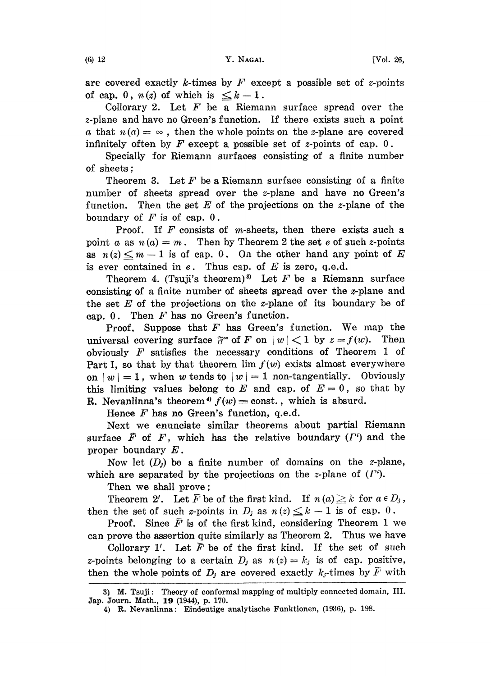are covered exactly k-times by  $F$  except a possible set of z-points of cap. 0,  $n(z)$  of which is  $\leq k-1$ .

Collorary 2. Let  $F$  be a Riemann surface spread over the z-plane and have no Green's function. If there exists such a point a that  $n(a) = \infty$ , then the whole points on the z-plane are covered infinitely often by  $F$  except a possible set of z-points of cap. 0.

Specially for Riemann surfaces consisting of a finite number of sheets

Theorem 3. Let  $F$  be a Riemann surface consisting of a finite number of sheets spread over the z-plane and have no Green's function. Then the set  $E$  of the projections on the *z*-plane of the boundary of  $F$  is of cap.  $0$ .

Proof. If  $F$  consists of m-sheets, then there exists such a point a as  $n(a) = m$ . Then by Theorem 2 the set e of such z-points as  $n(z) \leq m-1$  is of cap. 0. On the other hand any point of E is ever contained in  $e$ . Thus cap. of  $E$  is zero, q.e.d.

Theorem 4. (Tsuji's theorem)<sup>3</sup> Let F be a Riemann surface consisting of a finite number of sheets spread over the  $z$ -plane and the set  $E$  of the projections on the *z*-plane of its boundary be of cap.  $0$ . Then  $F$  has no Green's function.

**Proof.** Suppose that  $F$  has Green's function. We map the universal covering surface  $\delta^*$  of F on  $|w| < 1$  by  $z = f(w)$ . Then obviously  $F$  satisfies the necessary conditions of Theorem 1 of Part I, so that by that theorem  $\lim f(w)$  exists almost everywhere on  $|w| = 1$ , when w tends to  $|w| = 1$  non-tangentially. Obviously this limiting values belong to E and cap. of  $E=0$ , so that by R. Nevanlinna's theorem<sup>4</sup>  $f(w) =$ const., which is absurd.

Hence  $F$  has no Green's function, q.e.d.

Next we enunciate similar theorems about partial Riemann surface  $\bar{F}$  of F, which has the relative boundary ( $\Gamma^i$ ) and the proper boundary E.

Now let  $(D_j)$  be a finite number of domains on the z-plane, which are separated by the projections on the z-plane of  $(I^i)$ .

Then we shall prove;

Theorem 2'. Let  $\overline{F}$  be of the first kind. If  $n(a) \geq k$  for  $a \in D_i$ , then the set of such z-points in  $D_i$  as  $n(z) \leq k-1$  is of cap. 0.

**Proof.** Since  $\overline{F}$  is of the first kind, considering Theorem 1 we can prove the assertion quite similarly as Theorem 2. Thus we have Proof. Since  $F$  is of the first kind, considering Theorem 1 we<br>prove the assertion quite similarly as Theorem 2. Thus we have<br>Collorary 1'. Let  $\overline{F}$  be of the first kind. If the set of such

Collorary 1'. Let  $\overline{F}$  be of the first kind. If the set of such z-points belonging to a certain  $D_i$  as  $n(z) = k_i$  is of cap. positive, then the whole points of  $D_j$  are covered exactly  $k_j$ -times by  $\overline{F}$  with

<sup>3)</sup> M. Tsuji: Theory of conformal mapping of multiply connected domain, III. Jap. Journ. Math., 19 (1944), p. 170.

<sup>4)</sup> R. Nevanlinna: Eindeutige analytische Funktionen, (1936), p. 198.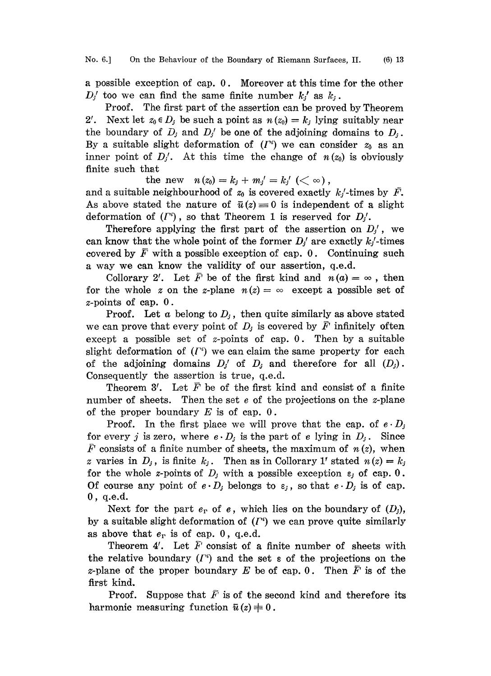a possible exception of cap. 0. Moreover at this time for the other  $D_j$  too we can find the same finite number  $k_i$  as  $k_i$ .

Proof. The first part of the assertion can be proved by Theorem 2'. Next let  $z_0 \in D_j$  be such a point as  $n (z_0) = k_j$  lying suitably near the boundary of  $D_j$  and  $D_j$  be one of the adjoining domains to  $D_j$ . By a suitable slight deformation of  $(I^*)$  we can consider  $z_0$  as an inner point of  $D_i'$ . At this time the change of  $n(z_0)$  is obviously finite such that

the new  $n(z_0) = k_j + m_j' = k_j' \; (< \infty)$ ,

and a suitable neighbourhood of  $z_0$  is covered exactly  $k/$ -times by  $\bar{F}$ . As above stated the nature of  $\bar{u}(z)=0$  is independent of a slight deformation of  $(I^i)$ , so that Theorem 1 is reserved for  $D_i'$ .

Therefore applying the first part of the assertion on  $D_j$ , we can know that the whole point of the former  $D_j$  are exactly  $k_j$ -times covered by  $\overline{F}$  with a possible exception of cap. 0. Continuing such a way we can know the validity of our assertion, q.e.d.

Collorary 2'. Let  $\overline{F}$  be of the first kind and  $n (a) = \infty$ , then for the whole z on the z-plane  $n(z) = \infty$  except a possible set of z-points of cap. 0.

Proof. Let a belong to  $D_i$ , then quite similarly as above stated we can prove that every point of  $D_j$  is covered by  $\overline{F}$  infinitely often except a possible set of z-points of cap.  $0$ . Then by a suitable slight deformation of  $(\Gamma^i)$  we can claim the same property for each of the adjoining domains  $D_j$  of  $D_j$  and therefore for all  $(D_j)$ . Consequently the assertion is true, q.e.d.

Theorem 3'. Let  $\overline{F}$  be of the first kind and consist of a finite number of sheets. Then the set e of the projections on the z-plane of the proper boundary  $E$  is of cap. 0.

Proof. In the first place we will prove that the cap. of  $e \cdot D_i$ for every j is zero, where  $e \cdot D_i$  is the part of e lying in  $D_i$ . Since  $\tilde{F}$  consists of a finite number of sheets, the maximum of  $n(z)$ , when z varies in  $D_i$ , is finite  $k_i$ . Then as in Collorary 1' stated  $n(z) = k_i$ for the whole z-points of  $D_j$  with a possible exception  $\varepsilon_j$  of cap. 0. Of course any point of  $e \cdot D_i$  belongs to  $\varepsilon_i$ , so that  $e \cdot D_i$  is of cap. 0, q.e.d.

Next for the part  $e_r$  of e, which lies on the boundary of  $(D_i)$ , by a suitable slight deformation of  $(\Gamma^i)$  we can prove quite similarly as above that  $e_r$  is of cap. 0, q.e.d.

Theorem 4'. Let  $\overline{F}$  consist of a finite number of sheets with the relative boundary  $(I^*)$  and the set  $\varepsilon$  of the projections on the z-plane of the proper boundary E be of cap. 0. Then  $\overline{F}$  is of the first kind.

Proof. Suppose that  $\bar{F}$  is of the se<br>harmonic measuring function  $\bar{u}(z) \neq 0$ . Suppose that  $\bar{F}$  is of the second kind and therefore its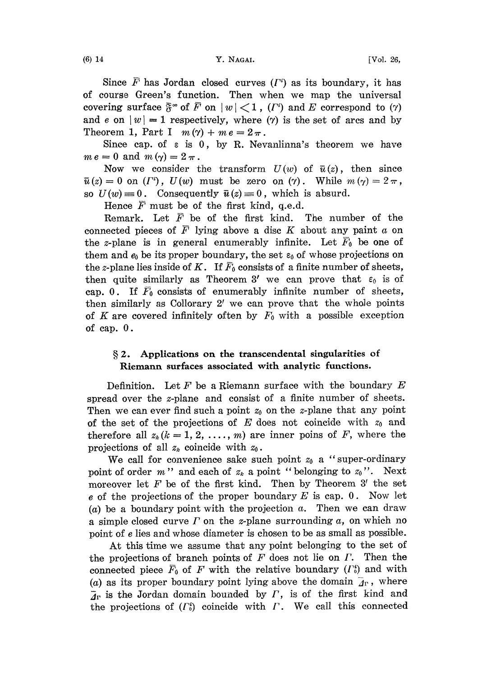Since  $F$  has Jordan closed curves  $(F)$  as its boundary, it has of course Green's function. Then when we map the universal covering surface  $\bar{\mathfrak{F}}^{\infty}$  of  $\bar{F}$  on  $|w|<1$ ,  $(F^i)$  and E correspond to  $(\gamma)$ and e on  $|w|= 1$  respectively, where ( $\gamma$ ) is the set of arcs and by Theorem 1, Part I  $m(\gamma) + me = 2\pi$ .

Since cap. of  $\varepsilon$  is 0, by R. Nevanlinna's theorem we have  $m e = 0$  and  $m (\gamma) = 2 \pi$ .

Now we consider the transform  $U(w)$  of  $\bar{u}(z)$ , then since  $\bar{u}(z) = 0$  on  $(\Gamma^i)$ ,  $U(w)$  must be zero on  $(\gamma)$ . While  $m(\gamma)=2\pi$ , so  $U(w)=0$ . Consequently  $\bar{u}(z)=0$ , which is absurd.

Hence  $\overline{F}$  must be of the first kind, q.e.d.

Remark. Let  $\overline{F}$  be of the first kind. The number of the connected pieces of  $\overline{F}$  lying above a disc K about any paint a on the z-plane is in general enumerably infinite. Let  $\bar{F}_0$  be one of them and  $e_0$  be its proper boundary, the set  $\varepsilon_0$  of whose projections on the z-plane lies inside of K. If  $\bar{F}_0$  consists of a finite number of sheets, then quite similarly as Theorem 3' we can prove that  $\varepsilon_0$  is of cap. 0. If  $\overline{F}_0$  consists of enumerably infinite number of sheets, then similarly as Collorary  $2'$  we can prove that the whole points of K are covered infinitely often by  $F_0$  with a possible exception of cap. 0.

## § 2. Applications on the transcendental singularities of Riemann surfaces associated with analytic functions.

Definition. Let  $F$  be a Riemann surface with the boundary  $E$ spread over the z-plane and consist of a finite number of sheets. Then we can ever find such a point  $z_0$  on the z-plane that any point of the set of the projections of E does not coincide with  $z_0$  and therefore all  $z_k (k = 1, 2, ..., m)$  are inner poins of F, where the projections of all  $z_k$  coincide with  $z_0$ .

We call for convenience sake such point  $z_0$  a "super-ordinary point of order m" and each of  $z_k$  a point "belonging to  $z_0$ ". Next moreover let  $F$  be of the first kind. Then by Theorem 3' the set e of the projections of the proper boundary  $E$  is cap. 0. Now let (a) be a boundary point with the projection  $a$ . Then we can draw a simple closed curve  $\Gamma$  on the z-plane surrounding  $\alpha$ , on which no point of e lies and whose diameter is chosen to be as small as possible.

At this time we assume that any point belonging to the set of the projections of branch points of  $F$  does not lie on  $\Gamma$ . Then the connected piece  $\bar{F}_0$  of F with the relative boundary ( $\Gamma_0$ ) and with (a) as its proper boundary point lying above the domain  $\bar{A}_{\Gamma}$ , where  $\overline{A}_{\Gamma}$  is the Jordan domain bounded by  $\Gamma$ , is of the first kind and the projections of  $(\Gamma_0^i)$  coincide with  $\Gamma$ . We call this connected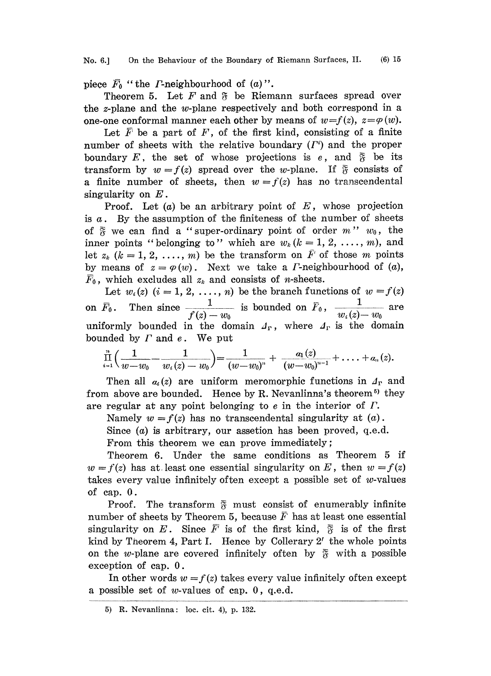piece  $\bar{F}_0$  "the *F*-neighbourhood of (a)".

Theorem 5. Let  $F$  and  $\mathfrak F$  be Riemann surfaces spread over the z-plane and the w-plane respectively and both correspond in a one-one conformal manner each other by means of  $w=f(z)$ ,  $z=\varphi(w)$ .

Let  $\overline{F}$  be a part of F, of the first kind, consisting of a finite number of sheets with the relative boundary  $(F<sup>i</sup>)$  and the proper boundary E, the set of whose projections is e, and  $\bar{R}$  be its transform by  $w = f(z)$  spread over the w-plane. If  $\tilde{g}$  consists of a finite number of sheets, then  $w = f(z)$  has no transcendental singularity on  $E$ .

Proof. Let  $(a)$  be an arbitrary point of  $E$ , whose projection is  $a$ . By the assumption of the finiteness of the number of sheets of  $\tilde{\mathfrak{F}}$  we can find a "super-ordinary point of order m"  $w_0$ , the inner points "belonging to" which are  $w_k$   $(k = 1, 2, ..., m)$ , and let  $z_k$   $(k=1, 2, ..., m)$  be the transform on  $\overline{F}$  of those m points by means of  $z = \varphi(w)$ . Next we take a *Γ*-neighbourhood of (*a*),  $\bar{F}_0$ , which excludes all  $z_k$  and consists of *n*-sheets.

Let  $w_i(z)$   $(i = 1, 2, ..., n)$  be the branch functions of  $w = f(z)$ on  $\bar{F}_0$ . Then since  $\frac{1}{\sqrt{2\pi}}$  is bounded on  $\bar{F}_0$ ,  $\frac{1}{\sqrt{2\pi}}$  are  $f(z) - w_0$   $w_i(z) - w_0$ uniformly bounded in the domain  $\mathcal{A}_r$ , where  $\mathcal{A}_r$  is the domain bounded by  $\Gamma$  and  $e$ . We put

$$
\prod_{i=1}^n\Big(\frac{1}{w-w_0}-\frac{1}{w_i(z)-w_0}\Big)=\frac{1}{(w-w_0)^n}+\frac{a_1(z)}{(w-w_0)^{n-1}}+\ldots+a_n(z).
$$

Then all  $a_i(z)$  are uniform meromorphic functions in  $\Lambda_{\rm r}$  and from above are bounded. Hence by R. Nevanlinna's theorem<sup>5</sup> they are regular at any point belonging to  $e$  in the interior of  $\Gamma$ .

Namely  $w = f(z)$  has no transcendental singularity at  $(a)$ .

Since  $(a)$  is arbitrary, our assetion has been proved, q.e.d. From this theorem we can prove immediately;

Theorem 6. Under the same conditions as Theorem 5 if  $w = f(z)$  has at least one essential singularity on E, then  $w = f(z)$ takes every value infinitely often except a possible set of  $w$ -values of cap. 0.

Proof. The transform  $\bar{S}$  must consist of enumerably infinite number of sheets by Theorem 5, because  $\overline{F}$  has at least one essential singularity on E. Since  $\overline{F}$  is of the first kind,  $\overline{S}$  is of the first kind by Theorem 4, Part I. Hence by Collerary  $2'$  the whole points on the w-plane are covered infinitely often by  $\bar{g}$  with a possible exception of cap. 0.

In other words  $w = f(z)$  takes every value infinitely often except a possible set of  $w$ -values of cap.  $0$ , q.e.d.

<sup>5)</sup> R. Nevanlinna: loc. cit. 4), p. 132.